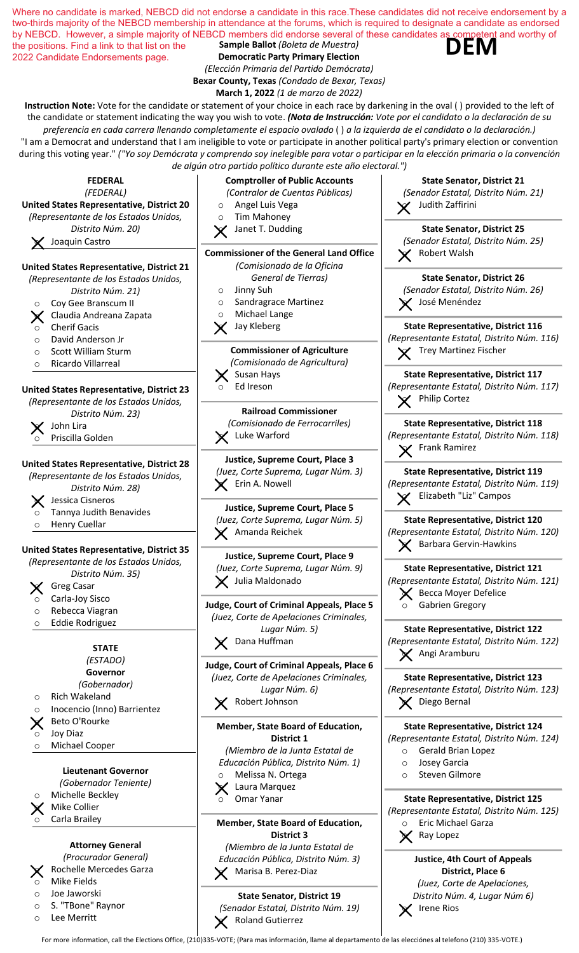

For more information, call the Elections Office, (210)335-VOTE; (Para mas información, llame al departamento de las elecciónes al telefono (210) 335-VOTE.)